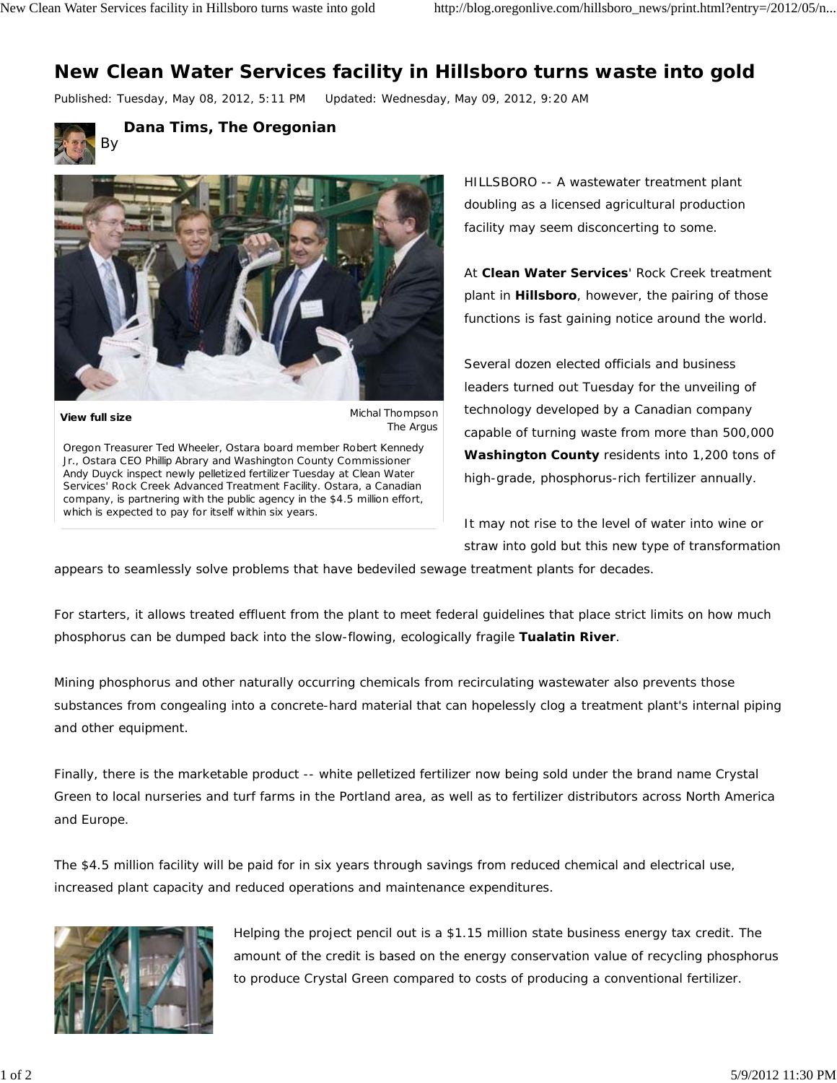## **New Clean Water Services facility in Hillsboro turns waste into gold**

Published: Tuesday, May 08, 2012, 5:11 PM Updated: Wednesday, May 09, 2012, 9:20 AM



By **Dana Tims, The Oregonian**



**View full size**

Michal Thompson The Argus

Oregon Treasurer Ted Wheeler, Ostara board member Robert Kennedy Jr., Ostara CEO Phillip Abrary and Washington County Commissioner Andy Duyck inspect newly pelletized fertilizer Tuesday at Clean Water Services' Rock Creek Advanced Treatment Facility. Ostara, a Canadian company, is partnering with the public agency in the \$4.5 million effort, which is expected to pay for itself within six years.

HILLSBORO -- A wastewater treatment plant doubling as a licensed agricultural production facility may seem disconcerting to some.

At **Clean Water Services**' Rock Creek treatment plant in **Hillsboro**, however, the pairing of those functions is fast gaining notice around the world.

Several dozen elected officials and business leaders turned out Tuesday for the unveiling of technology developed by a Canadian company capable of turning waste from more than 500,000 **Washington County** residents into 1,200 tons of high-grade, phosphorus-rich fertilizer annually.

It may not rise to the level of water into wine or straw into gold but this new type of transformation

appears to seamlessly solve problems that have bedeviled sewage treatment plants for decades.

For starters, it allows treated effluent from the plant to meet federal guidelines that place strict limits on how much phosphorus can be dumped back into the slow-flowing, ecologically fragile **Tualatin River**.

Mining phosphorus and other naturally occurring chemicals from recirculating wastewater also prevents those substances from congealing into a concrete-hard material that can hopelessly clog a treatment plant's internal piping and other equipment.

Finally, there is the marketable product -- white pelletized fertilizer now being sold under the brand name Crystal Green to local nurseries and turf farms in the Portland area, as well as to fertilizer distributors across North America and Europe.

The \$4.5 million facility will be paid for in six years through savings from reduced chemical and electrical use, increased plant capacity and reduced operations and maintenance expenditures.



Helping the project pencil out is a \$1.15 million state business energy tax credit. The amount of the credit is based on the energy conservation value of recycling phosphorus to produce Crystal Green compared to costs of producing a conventional fertilizer.